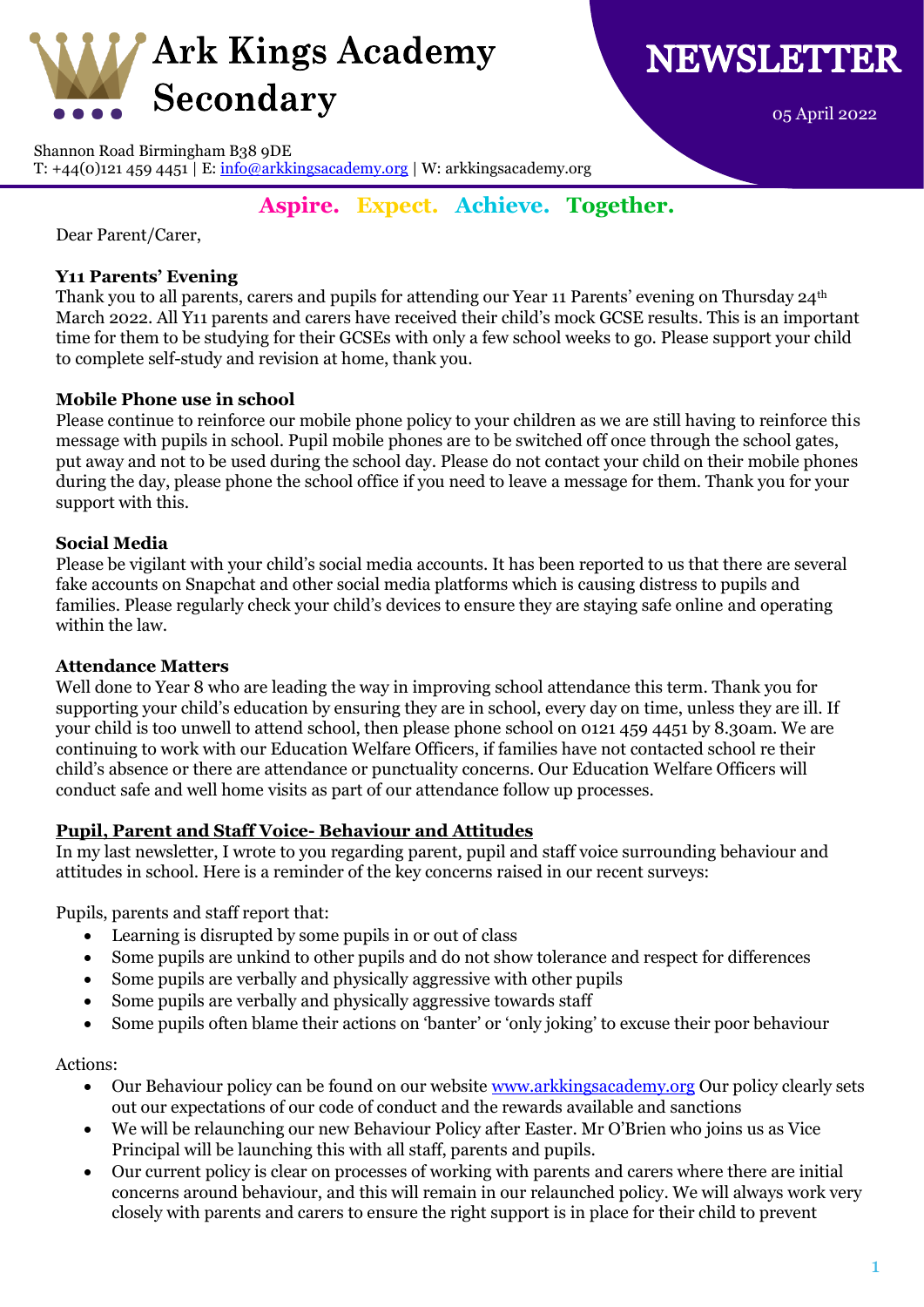

05 April 2022

Shannon Road Birmingham B38 9DE

T: +44(0)121 459 4451 | E:  $\frac{info@arkkingsacademy.org}{info@arkkingsacademy.org}$  | W: arkkingsacademy.org

# **Aspire. Expect. Achieve. Together.**

Dear Parent/Carer,

## **Y11 Parents' Evening**

Thank you to all parents, carers and pupils for attending our Year 11 Parents' evening on Thursday 24<sup>th</sup> March 2022. All Y11 parents and carers have received their child's mock GCSE results. This is an important time for them to be studying for their GCSEs with only a few school weeks to go. Please support your child to complete self-study and revision at home, thank you.

## **Mobile Phone use in school**

Please continue to reinforce our mobile phone policy to your children as we are still having to reinforce this message with pupils in school. Pupil mobile phones are to be switched off once through the school gates, put away and not to be used during the school day. Please do not contact your child on their mobile phones during the day, please phone the school office if you need to leave a message for them. Thank you for your support with this.

## **Social Media**

Please be vigilant with your child's social media accounts. It has been reported to us that there are several fake accounts on Snapchat and other social media platforms which is causing distress to pupils and families. Please regularly check your child's devices to ensure they are staying safe online and operating within the law.

#### **Attendance Matters**

Well done to Year 8 who are leading the way in improving school attendance this term. Thank you for supporting your child's education by ensuring they are in school, every day on time, unless they are ill. If your child is too unwell to attend school, then please phone school on 0121 459 4451 by 8.30am. We are continuing to work with our Education Welfare Officers, if families have not contacted school re their child's absence or there are attendance or punctuality concerns. Our Education Welfare Officers will conduct safe and well home visits as part of our attendance follow up processes.

#### **Pupil, Parent and Staff Voice- Behaviour and Attitudes**

In my last newsletter, I wrote to you regarding parent, pupil and staff voice surrounding behaviour and attitudes in school. Here is a reminder of the key concerns raised in our recent surveys:

Pupils, parents and staff report that:

- Learning is disrupted by some pupils in or out of class
- Some pupils are unkind to other pupils and do not show tolerance and respect for differences
- Some pupils are verbally and physically aggressive with other pupils
- Some pupils are verbally and physically aggressive towards staff
- Some pupils often blame their actions on 'banter' or 'only joking' to excuse their poor behaviour

#### Actions:

- Our Behaviour policy can be found on our website [www.arkkingsacademy.org](http://www.arkkingsacademy.org/) Our policy clearly sets out our expectations of our code of conduct and the rewards available and sanctions
- We will be relaunching our new Behaviour Policy after Easter. Mr O'Brien who joins us as Vice Principal will be launching this with all staff, parents and pupils.
- Our current policy is clear on processes of working with parents and carers where there are initial concerns around behaviour, and this will remain in our relaunched policy. We will always work very closely with parents and carers to ensure the right support is in place for their child to prevent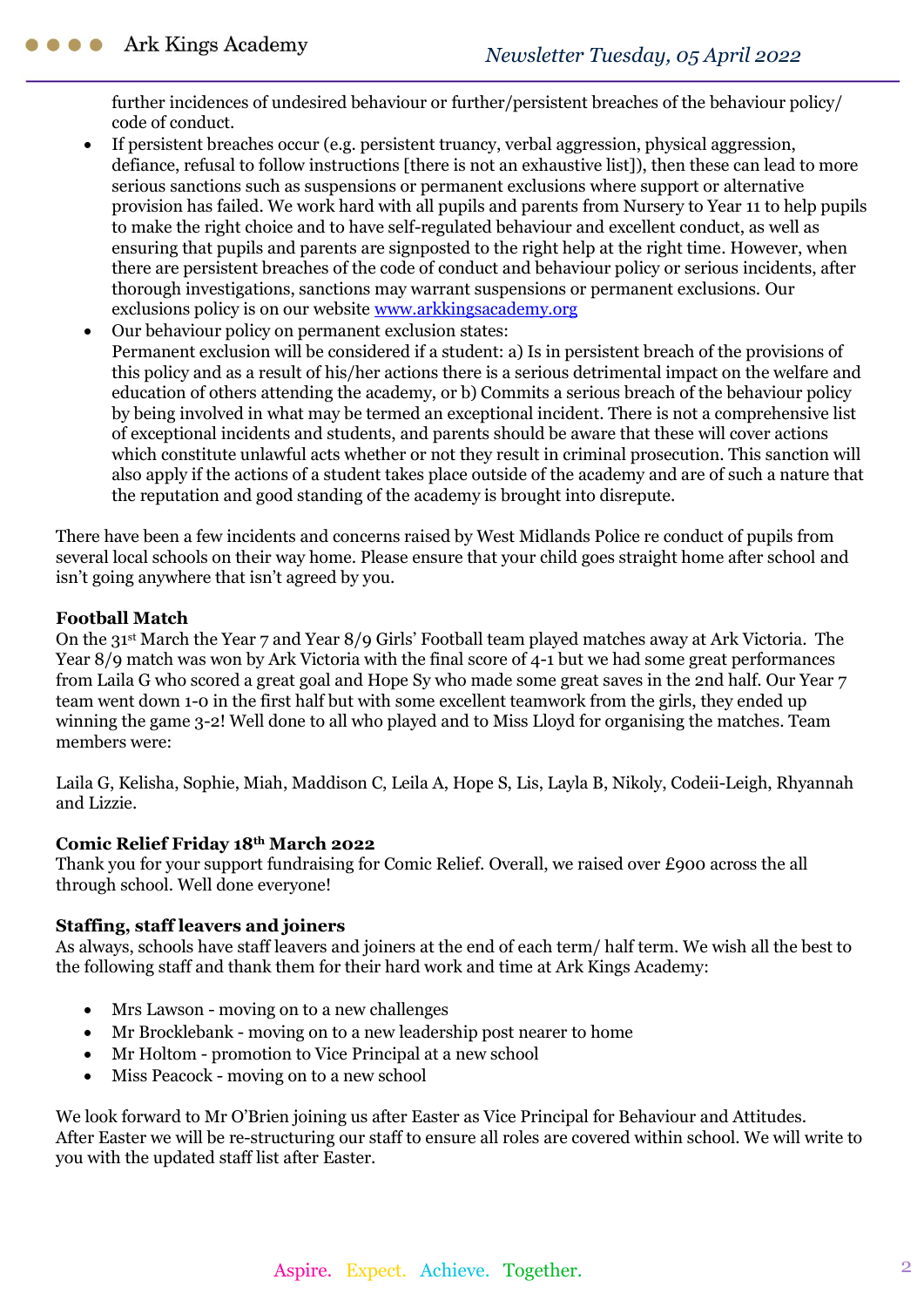further incidences of undesired behaviour or further/persistent breaches of the behaviour policy/ code of conduct.

- If persistent breaches occur (e.g. persistent truancy, verbal aggression, physical aggression, defiance, refusal to follow instructions [there is not an exhaustive list]), then these can lead to more serious sanctions such as suspensions or permanent exclusions where support or alternative provision has failed. We work hard with all pupils and parents from Nursery to Year 11 to help pupils to make the right choice and to have self-regulated behaviour and excellent conduct, as well as ensuring that pupils and parents are signposted to the right help at the right time. However, when there are persistent breaches of the code of conduct and behaviour policy or serious incidents, after thorough investigations, sanctions may warrant suspensions or permanent exclusions. Our exclusions policy is on our website [www.arkkingsacademy.org](http://www.arkkingsacademy.org/)
- Our behaviour policy on permanent exclusion states: Permanent exclusion will be considered if a student: a) Is in persistent breach of the provisions of this policy and as a result of his/her actions there is a serious detrimental impact on the welfare and education of others attending the academy, or b) Commits a serious breach of the behaviour policy by being involved in what may be termed an exceptional incident. There is not a comprehensive list of exceptional incidents and students, and parents should be aware that these will cover actions which constitute unlawful acts whether or not they result in criminal prosecution. This sanction will also apply if the actions of a student takes place outside of the academy and are of such a nature that the reputation and good standing of the academy is brought into disrepute.

There have been a few incidents and concerns raised by West Midlands Police re conduct of pupils from several local schools on their way home. Please ensure that your child goes straight home after school and isn't going anywhere that isn't agreed by you.

## **Football Match**

On the 31st March the Year 7 and Year 8/9 Girls' Football team played matches away at Ark Victoria. The Year 8/9 match was won by Ark Victoria with the final score of 4-1 but we had some great performances from Laila G who scored a great goal and Hope Sy who made some great saves in the 2nd half. Our Year 7 team went down 1-0 in the first half but with some excellent teamwork from the girls, they ended up winning the game 3-2! Well done to all who played and to Miss Lloyd for organising the matches. Team members were:

Laila G, Kelisha, Sophie, Miah, Maddison C, Leila A, Hope S, Lis, Layla B, Nikoly, Codeii-Leigh, Rhyannah and Lizzie.

#### **Comic Relief Friday 18th March 2022**

Thank you for your support fundraising for Comic Relief. Overall, we raised over £900 across the all through school. Well done everyone!

#### **Staffing, staff leavers and joiners**

As always, schools have staff leavers and joiners at the end of each term/ half term. We wish all the best to the following staff and thank them for their hard work and time at Ark Kings Academy:

- Mrs Lawson moving on to a new challenges
- Mr Brocklebank moving on to a new leadership post nearer to home
- Mr Holtom promotion to Vice Principal at a new school
- Miss Peacock moving on to a new school

We look forward to Mr O'Brien joining us after Easter as Vice Principal for Behaviour and Attitudes. After Easter we will be re-structuring our staff to ensure all roles are covered within school. We will write to you with the updated staff list after Easter.